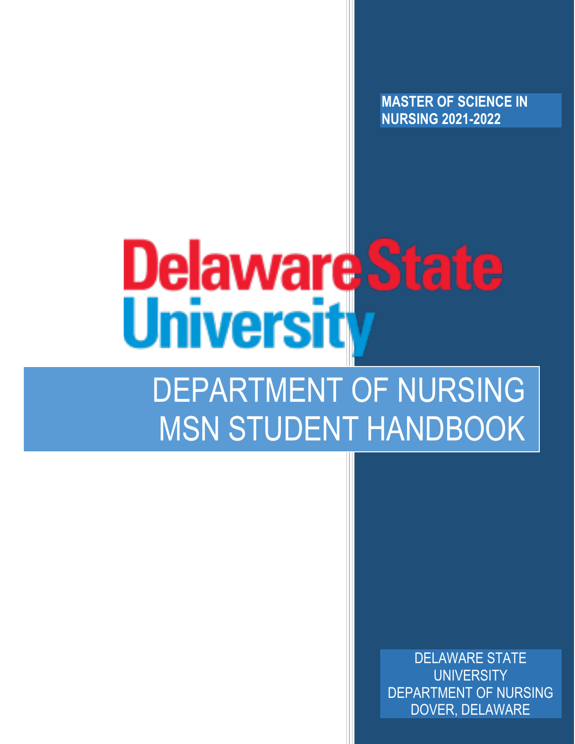**MASTER OF SCIENCE IN NURSING 2021-2022**

# **Delaware State Universit**

# DEPARTMENT OF NURSING MSN STUDENT HANDBOOK

DELAWARE STATE **UNIVERSITY** DEPARTMENT OF NURSING DOVER, DELAWARE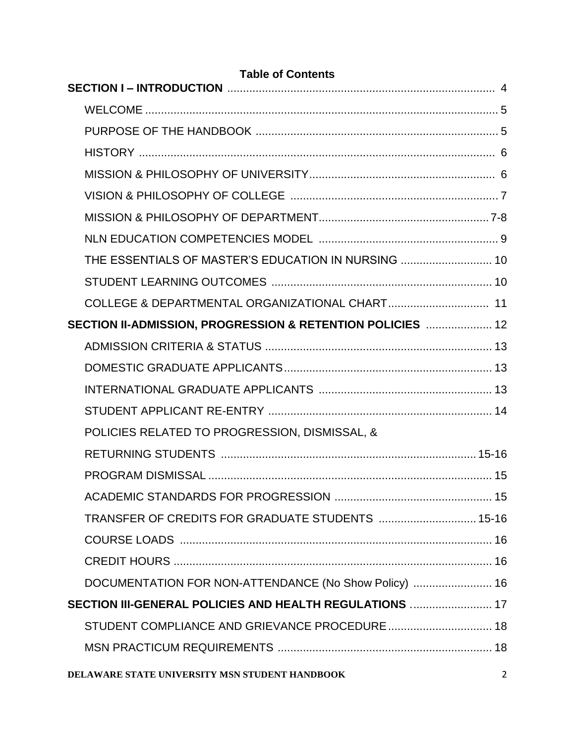| <b>Table of Contents</b>                                   |                |
|------------------------------------------------------------|----------------|
|                                                            |                |
|                                                            |                |
|                                                            |                |
|                                                            |                |
|                                                            |                |
|                                                            |                |
|                                                            |                |
|                                                            |                |
| THE ESSENTIALS OF MASTER'S EDUCATION IN NURSING  10        |                |
|                                                            |                |
|                                                            |                |
| SECTION II-ADMISSION, PROGRESSION & RETENTION POLICIES  12 |                |
|                                                            |                |
|                                                            |                |
|                                                            |                |
|                                                            |                |
| POLICIES RELATED TO PROGRESSION, DISMISSAL, &              |                |
|                                                            |                |
|                                                            |                |
|                                                            |                |
| TRANSFER OF CREDITS FOR GRADUATE STUDENTS  15-16           |                |
|                                                            |                |
|                                                            |                |
| DOCUMENTATION FOR NON-ATTENDANCE (No Show Policy)  16      |                |
| SECTION III-GENERAL POLICIES AND HEALTH REGULATIONS  17    |                |
| STUDENT COMPLIANCE AND GRIEVANCE PROCEDURE 18              |                |
|                                                            |                |
| DELAWARE STATE UNIVERSITY MSN STUDENT HANDBOOK             | $\overline{2}$ |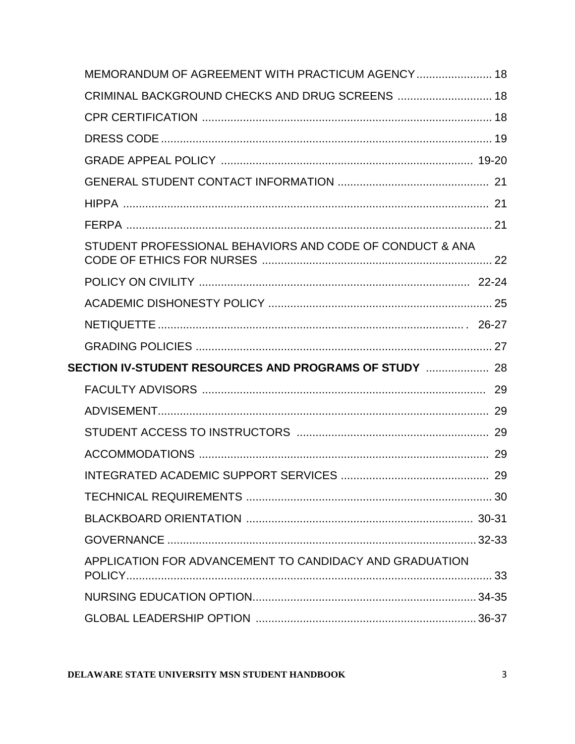| MEMORANDUM OF AGREEMENT WITH PRACTICUM AGENCY 18         |  |
|----------------------------------------------------------|--|
| CRIMINAL BACKGROUND CHECKS AND DRUG SCREENS  18          |  |
|                                                          |  |
|                                                          |  |
|                                                          |  |
|                                                          |  |
|                                                          |  |
|                                                          |  |
| STUDENT PROFESSIONAL BEHAVIORS AND CODE OF CONDUCT & ANA |  |
|                                                          |  |
|                                                          |  |
|                                                          |  |
|                                                          |  |
|                                                          |  |
|                                                          |  |
|                                                          |  |
|                                                          |  |
|                                                          |  |
|                                                          |  |
|                                                          |  |
|                                                          |  |
|                                                          |  |
| APPLICATION FOR ADVANCEMENT TO CANDIDACY AND GRADUATION  |  |
|                                                          |  |
|                                                          |  |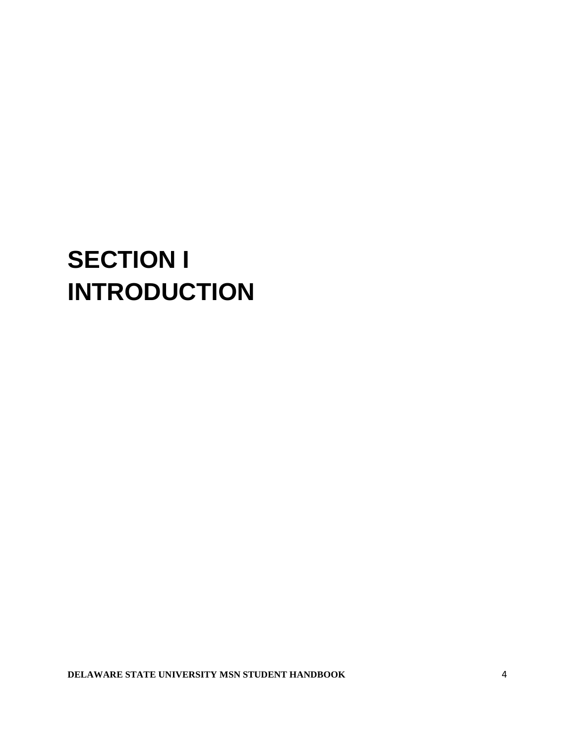# **SECTION I INTRODUCTION**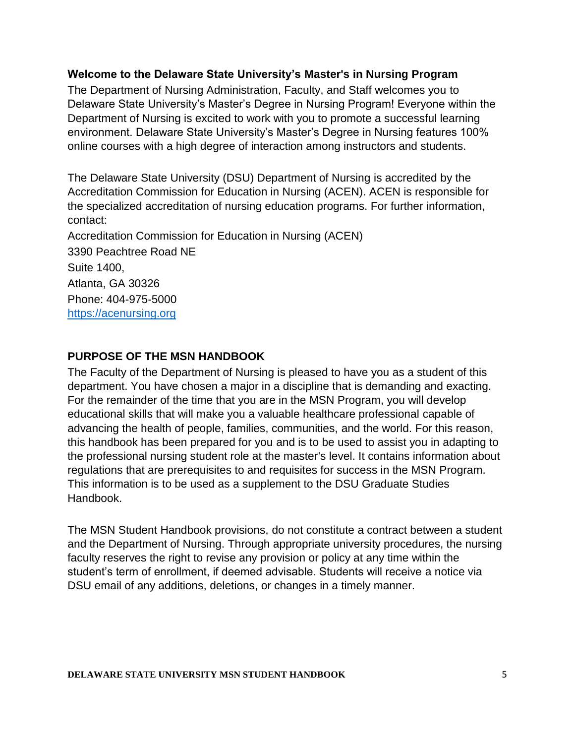#### **Welcome to the Delaware State University's Master's in Nursing Program**

The Department of Nursing Administration, Faculty, and Staff welcomes you to Delaware State University's Master's Degree in Nursing Program! Everyone within the Department of Nursing is excited to work with you to promote a successful learning environment. Delaware State University's Master's Degree in Nursing features 100% online courses with a high degree of interaction among instructors and students.

The Delaware State University (DSU) Department of Nursing is accredited by the Accreditation Commission for Education in Nursing (ACEN). ACEN is responsible for the specialized accreditation of nursing education programs. For further information, contact:

Accreditation Commission for Education in Nursing (ACEN) 3390 Peachtree Road NE Suite 1400, Atlanta, GA 30326 Phone: 404-975-5000 [https://acenursing.org](https://acenursing.org/)

#### **PURPOSE OF THE MSN HANDBOOK**

The Faculty of the Department of Nursing is pleased to have you as a student of this department. You have chosen a major in a discipline that is demanding and exacting. For the remainder of the time that you are in the MSN Program, you will develop educational skills that will make you a valuable healthcare professional capable of advancing the health of people, families, communities, and the world. For this reason, this handbook has been prepared for you and is to be used to assist you in adapting to the professional nursing student role at the master's level. It contains information about regulations that are prerequisites to and requisites for success in the MSN Program. This information is to be used as a supplement to the DSU Graduate Studies Handbook.

The MSN Student Handbook provisions, do not constitute a contract between a student and the Department of Nursing. Through appropriate university procedures, the nursing faculty reserves the right to revise any provision or policy at any time within the student's term of enrollment, if deemed advisable. Students will receive a notice via DSU email of any additions, deletions, or changes in a timely manner.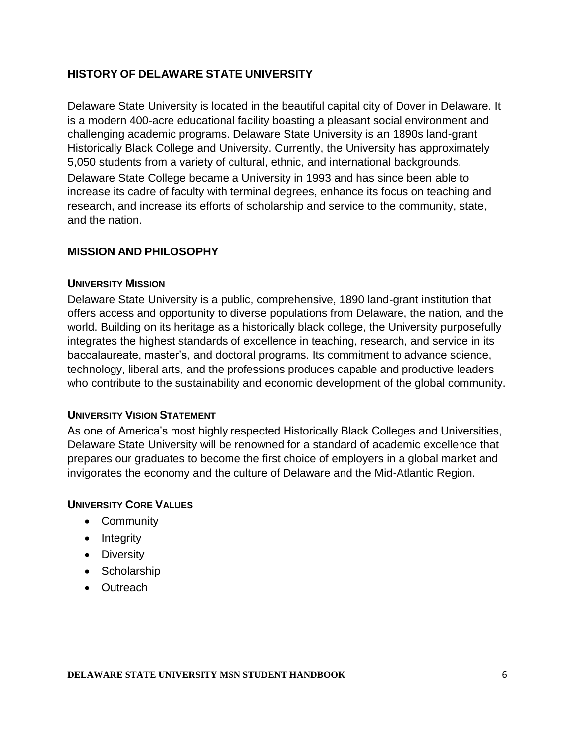#### **HISTORY OF DELAWARE STATE UNIVERSITY**

Delaware State University is located in the beautiful capital city of Dover in Delaware. It is a modern 400-acre educational facility boasting a pleasant social environment and challenging academic programs. Delaware State University is an 1890s land-grant Historically Black College and University. Currently, the University has approximately 5,050 students from a variety of cultural, ethnic, and international backgrounds. Delaware State College became a University in 1993 and has since been able to increase its cadre of faculty with terminal degrees, enhance its focus on teaching and research, and increase its efforts of scholarship and service to the community, state, and the nation.

#### **MISSION AND PHILOSOPHY**

#### **UNIVERSITY MISSION**

Delaware State University is a public, comprehensive, 1890 land-grant institution that offers access and opportunity to diverse populations from Delaware, the nation, and the world. Building on its heritage as a historically black college, the University purposefully integrates the highest standards of excellence in teaching, research, and service in its baccalaureate, master's, and doctoral programs. Its commitment to advance science, technology, liberal arts, and the professions produces capable and productive leaders who contribute to the sustainability and economic development of the global community.

#### **UNIVERSITY VISION STATEMENT**

As one of America's most highly respected Historically Black Colleges and Universities, Delaware State University will be renowned for a standard of academic excellence that prepares our graduates to become the first choice of employers in a global market and invigorates the economy and the culture of Delaware and the Mid-Atlantic Region.

#### **UNIVERSITY CORE VALUES**

- Community
- Integrity
- Diversity
- Scholarship
- Outreach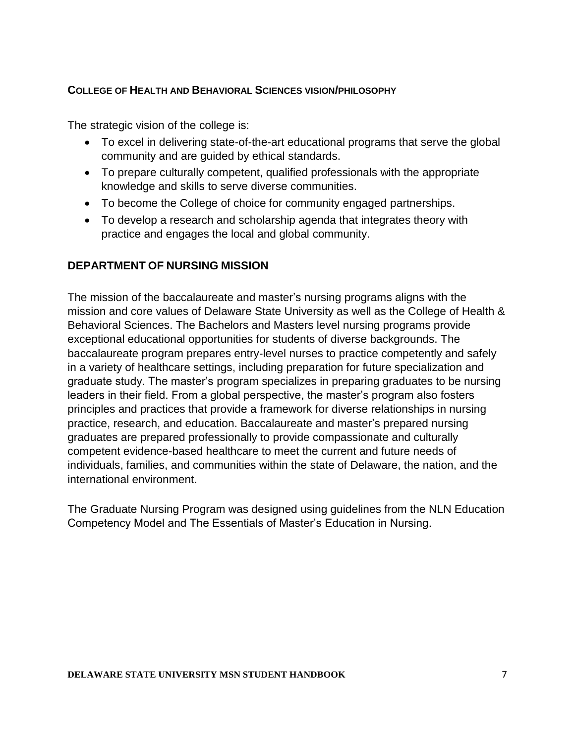#### **COLLEGE OF HEALTH AND BEHAVIORAL SCIENCES VISION/PHILOSOPHY**

The strategic vision of the college is:

- To excel in delivering state-of-the-art educational programs that serve the global community and are guided by ethical standards.
- To prepare culturally competent, qualified professionals with the appropriate knowledge and skills to serve diverse communities.
- To become the College of choice for community engaged partnerships.
- To develop a research and scholarship agenda that integrates theory with practice and engages the local and global community.

#### **DEPARTMENT OF NURSING MISSION**

The mission of the baccalaureate and master's nursing programs aligns with the mission and core values of Delaware State University as well as the College of Health & Behavioral Sciences. The Bachelors and Masters level nursing programs provide exceptional educational opportunities for students of diverse backgrounds. The baccalaureate program prepares entry-level nurses to practice competently and safely in a variety of healthcare settings, including preparation for future specialization and graduate study. The master's program specializes in preparing graduates to be nursing leaders in their field. From a global perspective, the master's program also fosters principles and practices that provide a framework for diverse relationships in nursing practice, research, and education. Baccalaureate and master's prepared nursing graduates are prepared professionally to provide compassionate and culturally competent evidence-based healthcare to meet the current and future needs of individuals, families, and communities within the state of Delaware, the nation, and the international environment.

The Graduate Nursing Program was designed using guidelines from the NLN Education Competency Model and The Essentials of Master's Education in Nursing.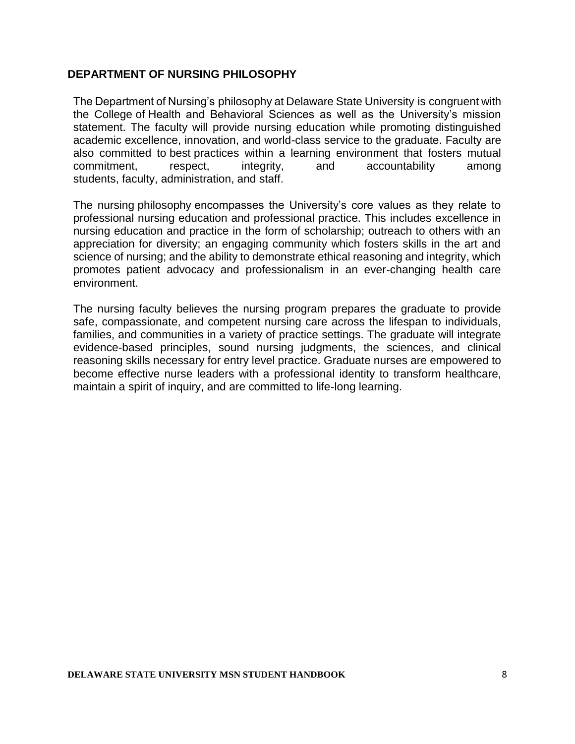#### **DEPARTMENT OF NURSING PHILOSOPHY**

The Department of Nursing's philosophy at Delaware State University is congruent with the College of Health and Behavioral Sciences as well as the University's mission statement. The faculty will provide nursing education while promoting distinguished academic excellence, innovation, and world-class service to the graduate. Faculty are also committed to best practices within a learning environment that fosters mutual commitment, respect, integrity, and accountability among students, faculty, administration, and staff.

The nursing philosophy encompasses the University's core values as they relate to professional nursing education and professional practice. This includes excellence in nursing education and practice in the form of scholarship; outreach to others with an appreciation for diversity; an engaging community which fosters skills in the art and science of nursing; and the ability to demonstrate ethical reasoning and integrity, which promotes patient advocacy and professionalism in an ever-changing health care environment.

The nursing faculty believes the nursing program prepares the graduate to provide safe, compassionate, and competent nursing care across the lifespan to individuals, families, and communities in a variety of practice settings. The graduate will integrate evidence-based principles, sound nursing judgments, the sciences, and clinical reasoning skills necessary for entry level practice. Graduate nurses are empowered to become effective nurse leaders with a professional identity to transform healthcare, maintain a spirit of inquiry, and are committed to life-long learning.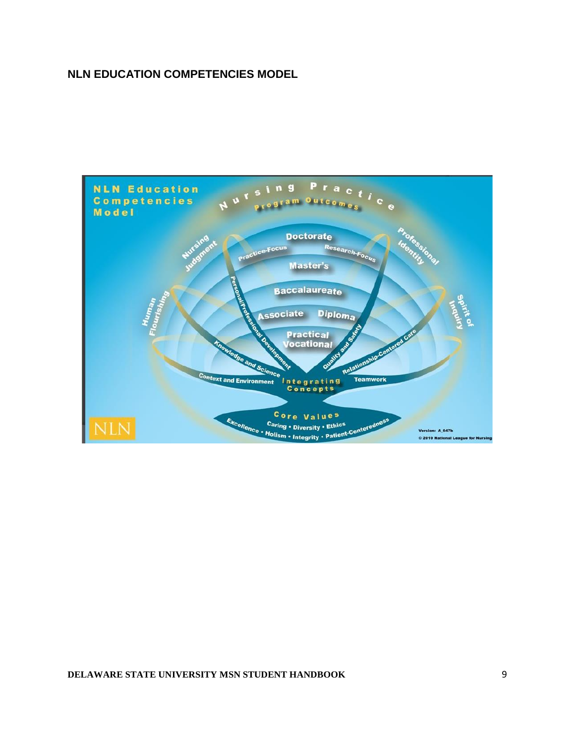#### **NLN EDUCATION COMPETENCIES MODEL**

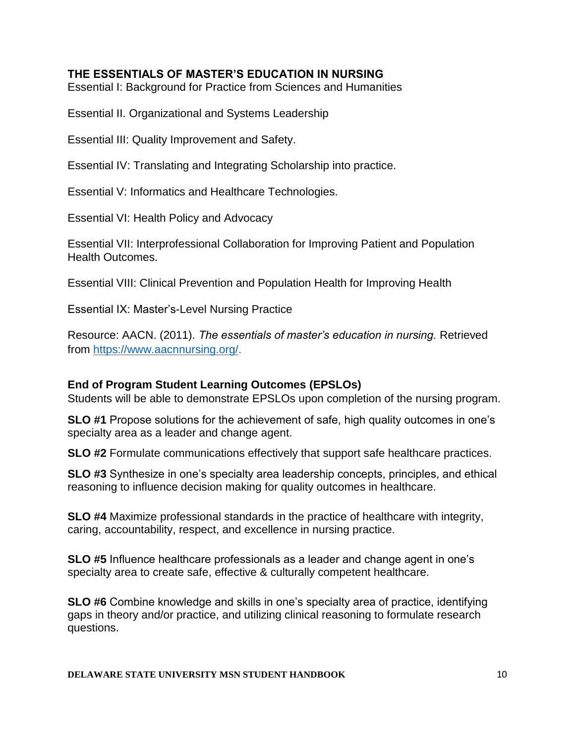#### **THE ESSENTIALS OF MASTER'S EDUCATION IN NURSING**

Essential I: Background for Practice from Sciences and Humanities

Essential II. Organizational and Systems Leadership

Essential III: Quality Improvement and Safety.

Essential IV: Translating and Integrating Scholarship into practice.

Essential V: Informatics and Healthcare Technologies.

Essential VI: Health Policy and Advocacy

Essential VII: Interprofessional Collaboration for Improving Patient and Population Health Outcomes.

Essential VIII: Clinical Prevention and Population Health for Improving Health

Essential IX: Master's-Level Nursing Practice

Resource: AACN. (2011). *The essentials of master's education in nursing.* Retrieved from [https://www.aacnnursing.org/.](https://www.aacnnursing.org/)

#### **End of Program Student Learning Outcomes (EPSLOs)**

Students will be able to demonstrate EPSLOs upon completion of the nursing program.

**SLO #1** Propose solutions for the achievement of safe, high quality outcomes in one's specialty area as a leader and change agent.

**SLO #2** Formulate communications effectively that support safe healthcare practices.

**SLO #3** Synthesize in one's specialty area leadership concepts, principles, and ethical reasoning to influence decision making for quality outcomes in healthcare.

**SLO #4** Maximize professional standards in the practice of healthcare with integrity, caring, accountability, respect, and excellence in nursing practice.

**SLO #5** Influence healthcare professionals as a leader and change agent in one's specialty area to create safe, effective & culturally competent healthcare.

**SLO #6** Combine knowledge and skills in one's specialty area of practice, identifying gaps in theory and/or practice, and utilizing clinical reasoning to formulate research questions.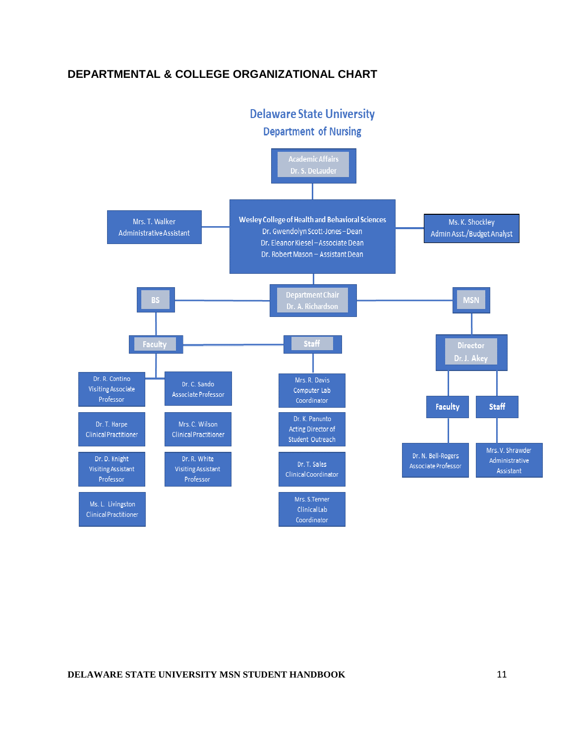#### **DEPARTMENTAL & COLLEGE ORGANIZATIONAL CHART**

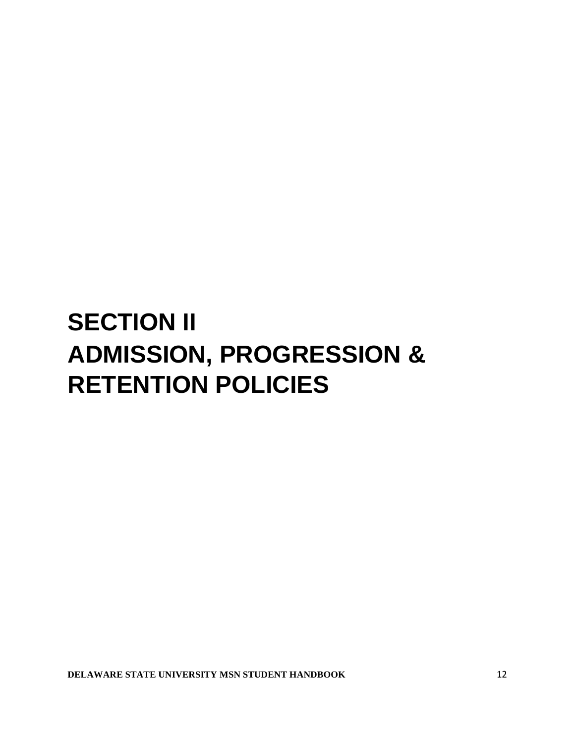# **SECTION II ADMISSION, PROGRESSION & RETENTION POLICIES**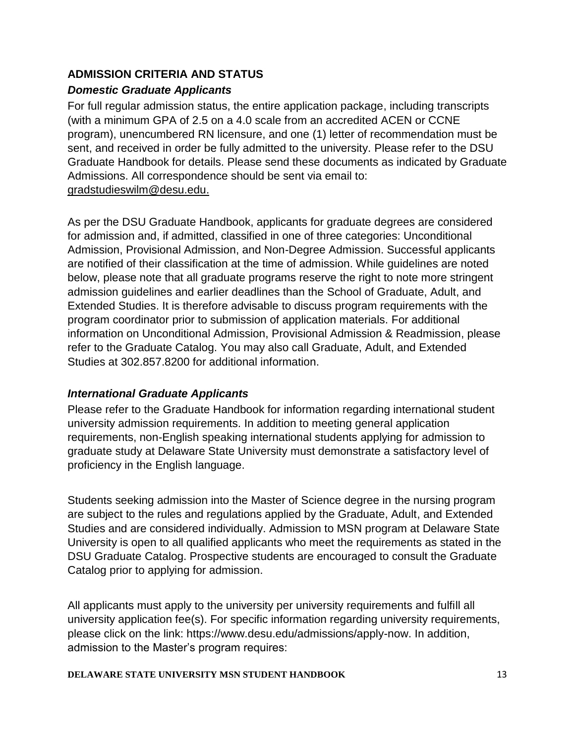#### **ADMISSION CRITERIA AND STATUS**

#### *Domestic Graduate Applicants*

For full regular admission status, the entire application package, including transcripts (with a minimum GPA of 2.5 on a 4.0 scale from an accredited ACEN or CCNE program), unencumbered RN licensure, and one (1) letter of recommendation must be sent, and received in order be fully admitted to the university. Please refer to the DSU Graduate Handbook for details. Please send these documents as indicated by Graduate Admissions. All correspondence should be sent via email to: [gradstudieswilm@desu.edu.](mailto:gradstudieswilm@desu.edu)

As per the DSU Graduate Handbook, applicants for graduate degrees are considered for admission and, if admitted, classified in one of three categories: Unconditional Admission, Provisional Admission, and Non-Degree Admission. Successful applicants are notified of their classification at the time of admission. While guidelines are noted below, please note that all graduate programs reserve the right to note more stringent admission guidelines and earlier deadlines than the School of Graduate, Adult, and Extended Studies. It is therefore advisable to discuss program requirements with the program coordinator prior to submission of application materials. For additional information on Unconditional Admission, Provisional Admission & Readmission, please refer to the Graduate Catalog. You may also call Graduate, Adult, and Extended Studies at 302.857.8200 for additional information.

#### *International Graduate Applicants*

Please refer to the Graduate Handbook for information regarding international student university admission requirements. In addition to meeting general application requirements, non-English speaking international students applying for admission to graduate study at Delaware State University must demonstrate a satisfactory level of proficiency in the English language.

Students seeking admission into the Master of Science degree in the nursing program are subject to the rules and regulations applied by the Graduate, Adult, and Extended Studies and are considered individually. Admission to MSN program at Delaware State University is open to all qualified applicants who meet the requirements as stated in the DSU Graduate Catalog. Prospective students are encouraged to consult the Graduate Catalog prior to applying for admission.

All applicants must apply to the university per university requirements and fulfill all university application fee(s). For specific information regarding university requirements, please click on the link: https://www.desu.edu/admissions/apply-now. In addition, admission to the Master's program requires: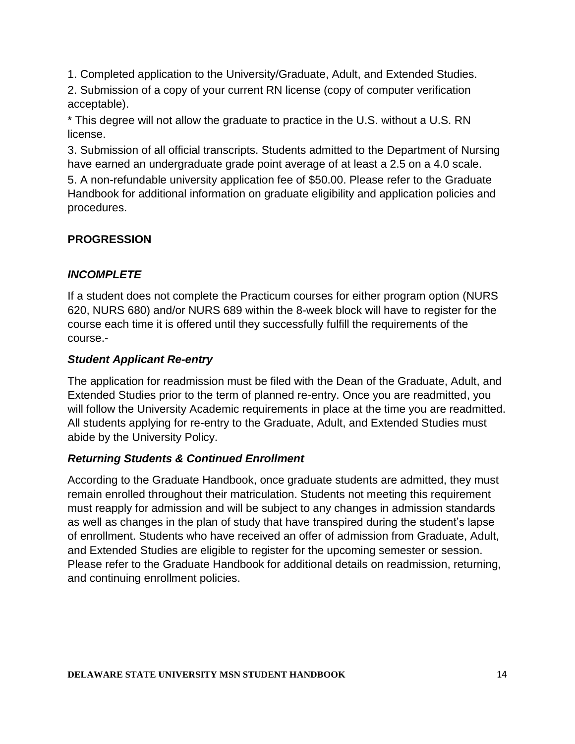1. Completed application to the University/Graduate, Adult, and Extended Studies.

2. Submission of a copy of your current RN license (copy of computer verification acceptable).

\* This degree will not allow the graduate to practice in the U.S. without a U.S. RN license.

3. Submission of all official transcripts. Students admitted to the Department of Nursing have earned an undergraduate grade point average of at least a 2.5 on a 4.0 scale.

5. A non-refundable university application fee of \$50.00. Please refer to the Graduate Handbook for additional information on graduate eligibility and application policies and procedures.

#### **PROGRESSION**

#### *INCOMPLETE*

If a student does not complete the Practicum courses for either program option (NURS 620, NURS 680) and/or NURS 689 within the 8-week block will have to register for the course each time it is offered until they successfully fulfill the requirements of the course.-

#### *Student Applicant Re-entry*

The application for readmission must be filed with the Dean of the Graduate, Adult, and Extended Studies prior to the term of planned re-entry. Once you are readmitted, you will follow the University Academic requirements in place at the time you are readmitted. All students applying for re-entry to the Graduate, Adult, and Extended Studies must abide by the University Policy.

#### *Returning Students & Continued Enrollment*

According to the Graduate Handbook, once graduate students are admitted, they must remain enrolled throughout their matriculation. Students not meeting this requirement must reapply for admission and will be subject to any changes in admission standards as well as changes in the plan of study that have transpired during the student's lapse of enrollment. Students who have received an offer of admission from Graduate, Adult, and Extended Studies are eligible to register for the upcoming semester or session. Please refer to the Graduate Handbook for additional details on readmission, returning, and continuing enrollment policies.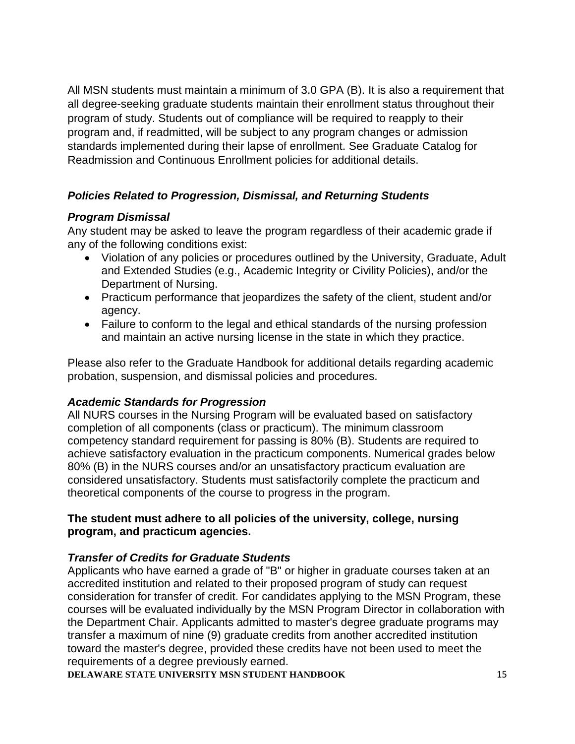All MSN students must maintain a minimum of 3.0 GPA (B). It is also a requirement that all degree-seeking graduate students maintain their enrollment status throughout their program of study. Students out of compliance will be required to reapply to their program and, if readmitted, will be subject to any program changes or admission standards implemented during their lapse of enrollment. See Graduate Catalog for Readmission and Continuous Enrollment policies for additional details.

#### *Policies Related to Progression, Dismissal, and Returning Students*

#### *Program Dismissal*

Any student may be asked to leave the program regardless of their academic grade if any of the following conditions exist:

- Violation of any policies or procedures outlined by the University, Graduate, Adult and Extended Studies (e.g., Academic Integrity or Civility Policies), and/or the Department of Nursing.
- Practicum performance that jeopardizes the safety of the client, student and/or agency.
- Failure to conform to the legal and ethical standards of the nursing profession and maintain an active nursing license in the state in which they practice.

Please also refer to the Graduate Handbook for additional details regarding academic probation, suspension, and dismissal policies and procedures.

#### *Academic Standards for Progression*

All NURS courses in the Nursing Program will be evaluated based on satisfactory completion of all components (class or practicum). The minimum classroom competency standard requirement for passing is 80% (B). Students are required to achieve satisfactory evaluation in the practicum components. Numerical grades below 80% (B) in the NURS courses and/or an unsatisfactory practicum evaluation are considered unsatisfactory. Students must satisfactorily complete the practicum and theoretical components of the course to progress in the program.

#### **The student must adhere to all policies of the university, college, nursing program, and practicum agencies.**

#### *Transfer of Credits for Graduate Students*

Applicants who have earned a grade of "B" or higher in graduate courses taken at an accredited institution and related to their proposed program of study can request consideration for transfer of credit. For candidates applying to the MSN Program, these courses will be evaluated individually by the MSN Program Director in collaboration with the Department Chair. Applicants admitted to master's degree graduate programs may transfer a maximum of nine (9) graduate credits from another accredited institution toward the master's degree, provided these credits have not been used to meet the requirements of a degree previously earned.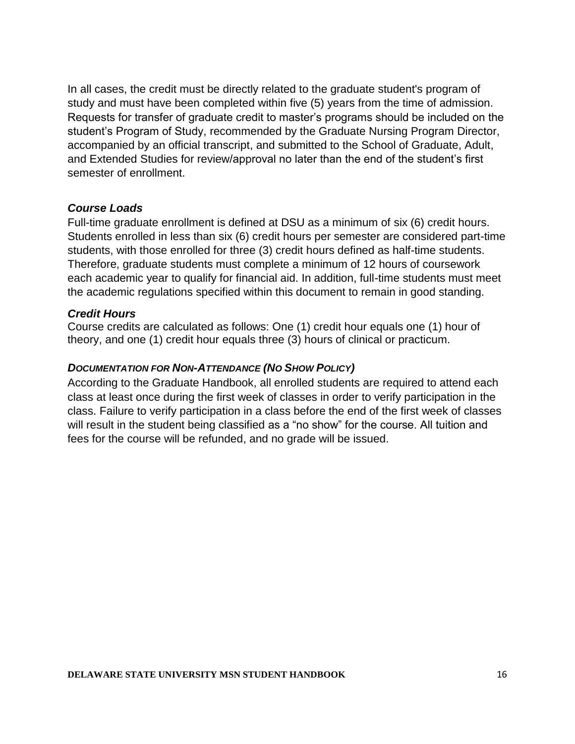In all cases, the credit must be directly related to the graduate student's program of study and must have been completed within five (5) years from the time of admission. Requests for transfer of graduate credit to master's programs should be included on the student's Program of Study, recommended by the Graduate Nursing Program Director, accompanied by an official transcript, and submitted to the School of Graduate, Adult, and Extended Studies for review/approval no later than the end of the student's first semester of enrollment.

#### *Course Loads*

Full-time graduate enrollment is defined at DSU as a minimum of six (6) credit hours. Students enrolled in less than six (6) credit hours per semester are considered part-time students, with those enrolled for three (3) credit hours defined as half-time students. Therefore, graduate students must complete a minimum of 12 hours of coursework each academic year to qualify for financial aid. In addition, full-time students must meet the academic regulations specified within this document to remain in good standing.

#### *Credit Hours*

Course credits are calculated as follows: One (1) credit hour equals one (1) hour of theory, and one (1) credit hour equals three (3) hours of clinical or practicum.

#### *DOCUMENTATION FOR NON-ATTENDANCE (NO SHOW POLICY)*

According to the Graduate Handbook, all enrolled students are required to attend each class at least once during the first week of classes in order to verify participation in the class. Failure to verify participation in a class before the end of the first week of classes will result in the student being classified as a "no show" for the course. All tuition and fees for the course will be refunded, and no grade will be issued.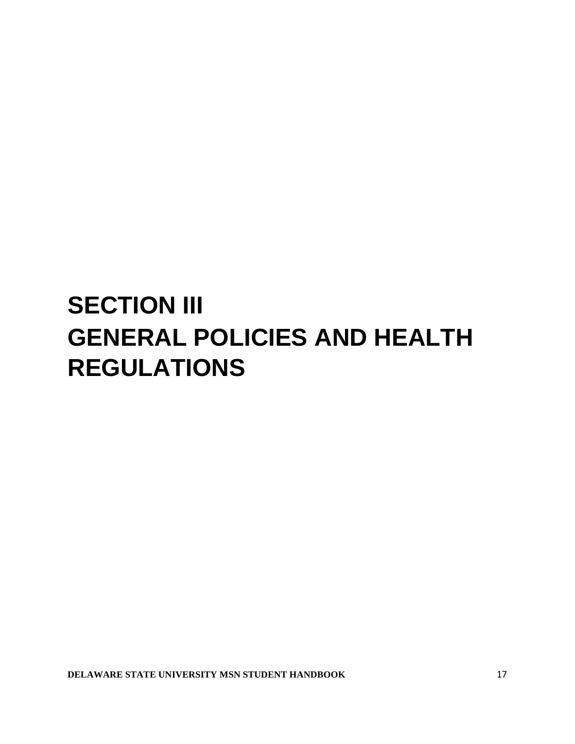### **SECTION III GENERAL POLICIES AND HEALTH REGULATIONS**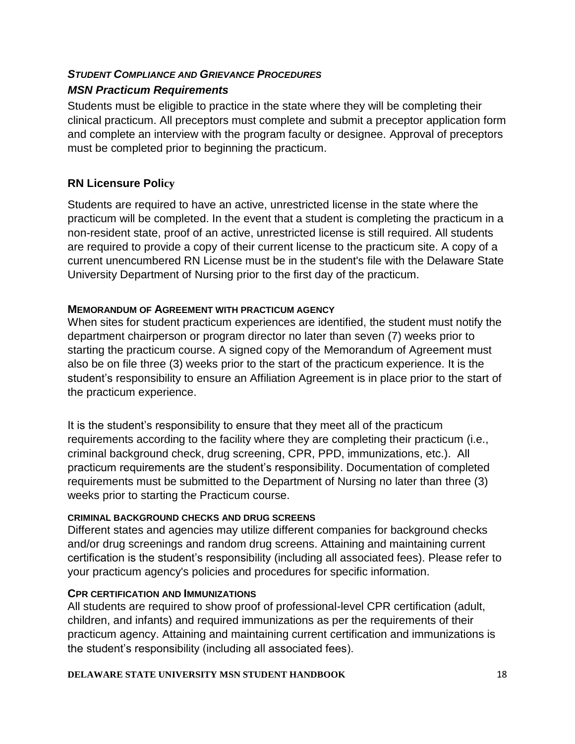#### *STUDENT COMPLIANCE AND GRIEVANCE PROCEDURES*

#### *MSN Practicum Requirements*

Students must be eligible to practice in the state where they will be completing their clinical practicum. All preceptors must complete and submit a preceptor application form and complete an interview with the program faculty or designee. Approval of preceptors must be completed prior to beginning the practicum.

#### **RN Licensure Policy**

Students are required to have an active, unrestricted license in the state where the practicum will be completed. In the event that a student is completing the practicum in a non-resident state, proof of an active, unrestricted license is still required. All students are required to provide a copy of their current license to the practicum site. A copy of a current unencumbered RN License must be in the student's file with the Delaware State University Department of Nursing prior to the first day of the practicum.

#### **MEMORANDUM OF AGREEMENT WITH PRACTICUM AGENCY**

When sites for student practicum experiences are identified, the student must notify the department chairperson or program director no later than seven (7) weeks prior to starting the practicum course. A signed copy of the Memorandum of Agreement must also be on file three (3) weeks prior to the start of the practicum experience. It is the student's responsibility to ensure an Affiliation Agreement is in place prior to the start of the practicum experience.

It is the student's responsibility to ensure that they meet all of the practicum requirements according to the facility where they are completing their practicum (i.e., criminal background check, drug screening, CPR, PPD, immunizations, etc.). All practicum requirements are the student's responsibility. Documentation of completed requirements must be submitted to the Department of Nursing no later than three (3) weeks prior to starting the Practicum course.

#### **CRIMINAL BACKGROUND CHECKS AND DRUG SCREENS**

Different states and agencies may utilize different companies for background checks and/or drug screenings and random drug screens. Attaining and maintaining current certification is the student's responsibility (including all associated fees). Please refer to your practicum agency's policies and procedures for specific information.

#### **CPR CERTIFICATION AND IMMUNIZATIONS**

All students are required to show proof of professional-level CPR certification (adult, children, and infants) and required immunizations as per the requirements of their practicum agency. Attaining and maintaining current certification and immunizations is the student's responsibility (including all associated fees).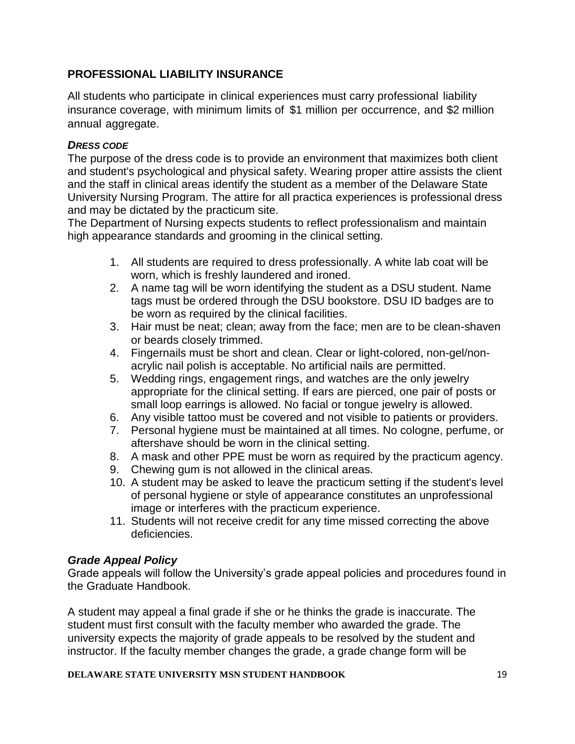#### **PROFESSIONAL LIABILITY INSURANCE**

All students who participate in clinical experiences must carry professional liability insurance coverage, with minimum limits of \$1 million per occurrence, and \$2 million annual aggregate.

#### *DRESS CODE*

The purpose of the dress code is to provide an environment that maximizes both client and student's psychological and physical safety. Wearing proper attire assists the client and the staff in clinical areas identify the student as a member of the Delaware State University Nursing Program. The attire for all practica experiences is professional dress and may be dictated by the practicum site.

The Department of Nursing expects students to reflect professionalism and maintain high appearance standards and grooming in the clinical setting.

- 1. All students are required to dress professionally. A white lab coat will be worn, which is freshly laundered and ironed.
- 2. A name tag will be worn identifying the student as a DSU student. Name tags must be ordered through the DSU bookstore. DSU ID badges are to be worn as required by the clinical facilities.
- 3. Hair must be neat; clean; away from the face; men are to be clean-shaven or beards closely trimmed.
- 4. Fingernails must be short and clean. Clear or light-colored, non-gel/nonacrylic nail polish is acceptable. No artificial nails are permitted.
- 5. Wedding rings, engagement rings, and watches are the only jewelry appropriate for the clinical setting. If ears are pierced, one pair of posts or small loop earrings is allowed. No facial or tongue jewelry is allowed.
- 6. Any visible tattoo must be covered and not visible to patients or providers.
- 7. Personal hygiene must be maintained at all times. No cologne, perfume, or aftershave should be worn in the clinical setting.
- 8. A mask and other PPE must be worn as required by the practicum agency.
- 9. Chewing gum is not allowed in the clinical areas.
- 10. A student may be asked to leave the practicum setting if the student's level of personal hygiene or style of appearance constitutes an unprofessional image or interferes with the practicum experience.
- 11. Students will not receive credit for any time missed correcting the above deficiencies.

#### *Grade Appeal Policy*

Grade appeals will follow the University's grade appeal policies and procedures found in the Graduate Handbook.

A student may appeal a final grade if she or he thinks the grade is inaccurate. The student must first consult with the faculty member who awarded the grade. The university expects the majority of grade appeals to be resolved by the student and instructor. If the faculty member changes the grade, a grade change form will be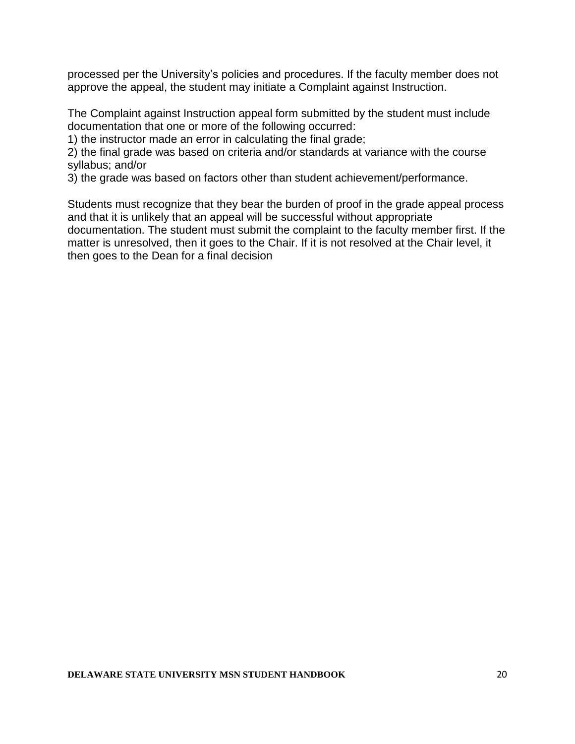processed per the University's policies and procedures. If the faculty member does not approve the appeal, the student may initiate a Complaint against Instruction.

The Complaint against Instruction appeal form submitted by the student must include documentation that one or more of the following occurred:

1) the instructor made an error in calculating the final grade;

2) the final grade was based on criteria and/or standards at variance with the course syllabus; and/or

3) the grade was based on factors other than student achievement/performance.

Students must recognize that they bear the burden of proof in the grade appeal process and that it is unlikely that an appeal will be successful without appropriate documentation. The student must submit the complaint to the faculty member first. If the matter is unresolved, then it goes to the Chair. If it is not resolved at the Chair level, it then goes to the Dean for a final decision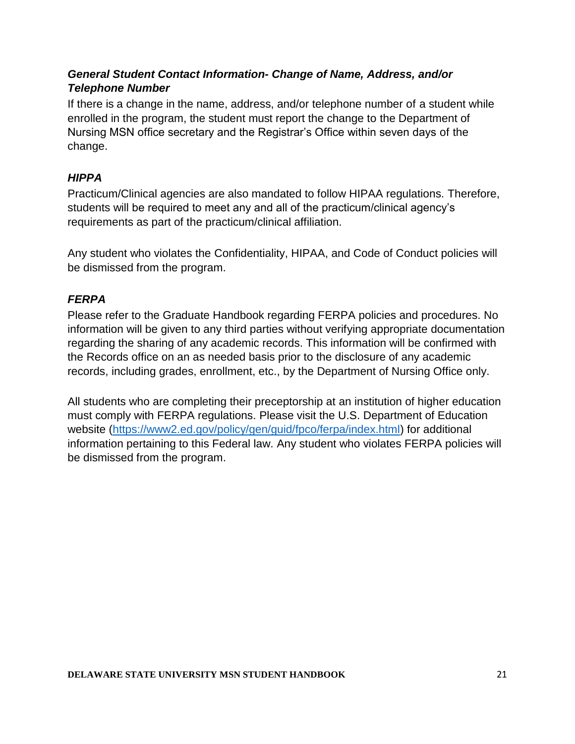#### *General Student Contact Information- Change of Name, Address, and/or Telephone Number*

If there is a change in the name, address, and/or telephone number of a student while enrolled in the program, the student must report the change to the Department of Nursing MSN office secretary and the Registrar's Office within seven days of the change.

#### *HIPPA*

Practicum/Clinical agencies are also mandated to follow HIPAA regulations. Therefore, students will be required to meet any and all of the practicum/clinical agency's requirements as part of the practicum/clinical affiliation.

Any student who violates the Confidentiality, HIPAA, and Code of Conduct policies will be dismissed from the program.

#### *FERPA*

Please refer to the Graduate Handbook regarding FERPA policies and procedures. No information will be given to any third parties without verifying appropriate documentation regarding the sharing of any academic records. This information will be confirmed with the Records office on an as needed basis prior to the disclosure of any academic records, including grades, enrollment, etc., by the Department of Nursing Office only.

All students who are completing their preceptorship at an institution of higher education must comply with FERPA regulations. Please visit the U.S. Department of Education website [\(https://www2.ed.gov/policy/gen/guid/fpco/ferpa/index.html\)](https://www2.ed.gov/policy/gen/guid/fpco/ferpa/index.html) for additional information pertaining to this Federal law. Any student who violates FERPA policies will be dismissed from the program.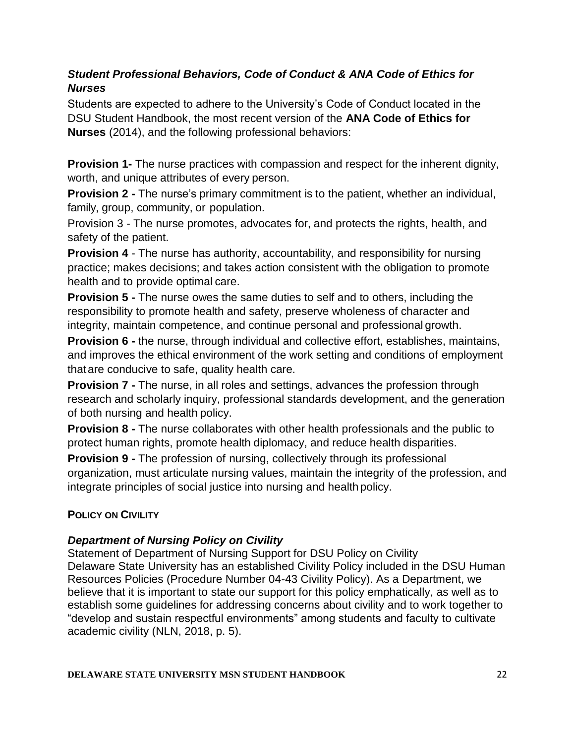#### *Student Professional Behaviors, Code of Conduct & ANA Code of Ethics for Nurses*

Students are expected to adhere to the University's Code of Conduct located in the DSU Student Handbook, the most recent version of the **ANA Code of Ethics for Nurses** (2014), and the following professional behaviors:

**Provision 1-** The nurse practices with compassion and respect for the inherent dignity, worth, and unique attributes of every person.

**Provision 2 -** The nurse's primary commitment is to the patient, whether an individual, family, group, community, or population.

Provision 3 - The nurse promotes, advocates for, and protects the rights, health, and safety of the patient.

**Provision 4** - The nurse has authority, accountability, and responsibility for nursing practice; makes decisions; and takes action consistent with the obligation to promote health and to provide optimal care.

**Provision 5 -** The nurse owes the same duties to self and to others, including the responsibility to promote health and safety, preserve wholeness of character and integrity, maintain competence, and continue personal and professional growth.

**Provision 6 -** the nurse, through individual and collective effort, establishes, maintains, and improves the ethical environment of the work setting and conditions of employment thatare conducive to safe, quality health care.

**Provision 7 -** The nurse, in all roles and settings, advances the profession through research and scholarly inquiry, professional standards development, and the generation of both nursing and health policy.

**Provision 8 -** The nurse collaborates with other health professionals and the public to protect human rights, promote health diplomacy, and reduce health disparities.

**Provision 9 -** The profession of nursing, collectively through its professional organization, must articulate nursing values, maintain the integrity of the profession, and integrate principles of social justice into nursing and health policy.

#### **POLICY ON CIVILITY**

#### *Department of Nursing Policy on Civility*

Statement of Department of Nursing Support for DSU Policy on Civility Delaware State University has an established Civility Policy included in the DSU Human Resources Policies (Procedure Number 04-43 Civility Policy). As a Department, we believe that it is important to state our support for this policy emphatically, as well as to establish some guidelines for addressing concerns about civility and to work together to "develop and sustain respectful environments" among students and faculty to cultivate academic civility (NLN, 2018, p. 5).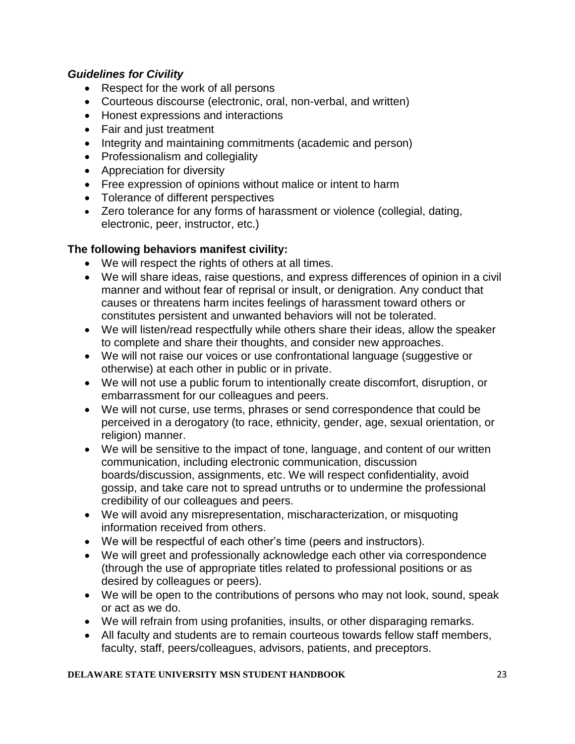#### *Guidelines for Civility*

- Respect for the work of all persons
- Courteous discourse (electronic, oral, non-verbal, and written)
- Honest expressions and interactions
- Fair and just treatment
- Integrity and maintaining commitments (academic and person)
- Professionalism and collegiality
- Appreciation for diversity
- Free expression of opinions without malice or intent to harm
- Tolerance of different perspectives
- Zero tolerance for any forms of harassment or violence (collegial, dating, electronic, peer, instructor, etc.)

#### **The following behaviors manifest civility:**

- We will respect the rights of others at all times.
- We will share ideas, raise questions, and express differences of opinion in a civil manner and without fear of reprisal or insult, or denigration. Any conduct that causes or threatens harm incites feelings of harassment toward others or constitutes persistent and unwanted behaviors will not be tolerated.
- We will listen/read respectfully while others share their ideas, allow the speaker to complete and share their thoughts, and consider new approaches.
- We will not raise our voices or use confrontational language (suggestive or otherwise) at each other in public or in private.
- We will not use a public forum to intentionally create discomfort, disruption, or embarrassment for our colleagues and peers.
- We will not curse, use terms, phrases or send correspondence that could be perceived in a derogatory (to race, ethnicity, gender, age, sexual orientation, or religion) manner.
- We will be sensitive to the impact of tone, language, and content of our written communication, including electronic communication, discussion boards/discussion, assignments, etc. We will respect confidentiality, avoid gossip, and take care not to spread untruths or to undermine the professional credibility of our colleagues and peers.
- We will avoid any misrepresentation, mischaracterization, or misquoting information received from others.
- We will be respectful of each other's time (peers and instructors).
- We will greet and professionally acknowledge each other via correspondence (through the use of appropriate titles related to professional positions or as desired by colleagues or peers).
- We will be open to the contributions of persons who may not look, sound, speak or act as we do.
- We will refrain from using profanities, insults, or other disparaging remarks.
- All faculty and students are to remain courteous towards fellow staff members, faculty, staff, peers/colleagues, advisors, patients, and preceptors.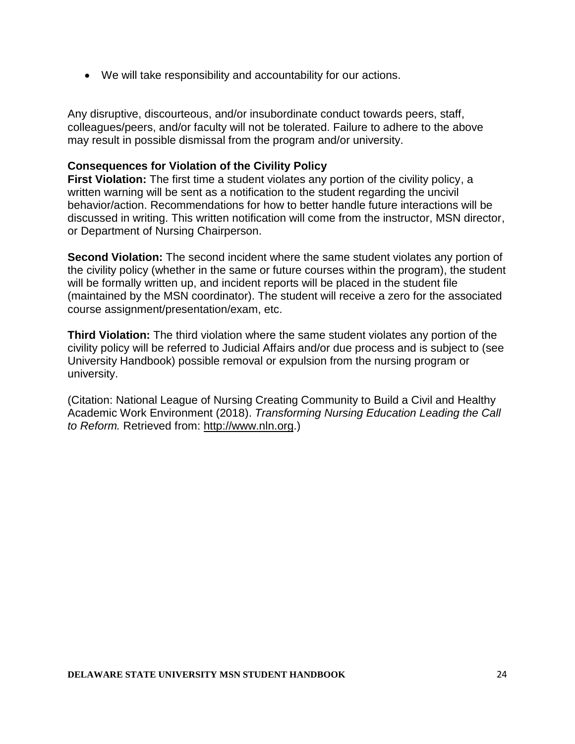• We will take responsibility and accountability for our actions.

Any disruptive, discourteous, and/or insubordinate conduct towards peers, staff, colleagues/peers, and/or faculty will not be tolerated. Failure to adhere to the above may result in possible dismissal from the program and/or university.

#### **Consequences for Violation of the Civility Policy**

**First Violation:** The first time a student violates any portion of the civility policy, a written warning will be sent as a notification to the student regarding the uncivil behavior/action. Recommendations for how to better handle future interactions will be discussed in writing. This written notification will come from the instructor, MSN director, or Department of Nursing Chairperson.

**Second Violation:** The second incident where the same student violates any portion of the civility policy (whether in the same or future courses within the program), the student will be formally written up, and incident reports will be placed in the student file (maintained by the MSN coordinator). The student will receive a zero for the associated course assignment/presentation/exam, etc.

**Third Violation:** The third violation where the same student violates any portion of the civility policy will be referred to Judicial Affairs and/or due process and is subject to (see University Handbook) possible removal or expulsion from the nursing program or university.

(Citation: National League of Nursing Creating Community to Build a Civil and Healthy Academic Work Environment (2018). *Transforming Nursing Education Leading the Call to Reform.* Retrieved from: [http://www.nln.org.](http://www.nln.org/))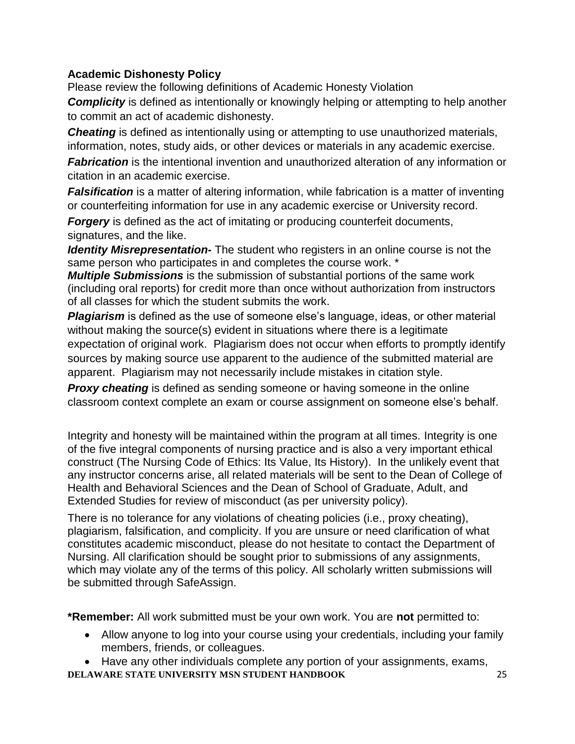#### **Academic Dishonesty Policy**

Please review the following definitions of Academic Honesty Violation

**Complicity** is defined as intentionally or knowingly helping or attempting to help another to commit an act of academic dishonesty.

**Cheating** is defined as intentionally using or attempting to use unauthorized materials, information, notes, study aids, or other devices or materials in any academic exercise.

*Fabrication* is the intentional invention and unauthorized alteration of any information or citation in an academic exercise.

**Falsification** is a matter of altering information, while fabrication is a matter of inventing or counterfeiting information for use in any academic exercise or University record.

*Forgery* is defined as the act of imitating or producing counterfeit documents, signatures, and the like.

*Identity Misrepresentation-* The student who registers in an online course is not the same person who participates in and completes the course work. \*

*Multiple Submissions* is the submission of substantial portions of the same work (including oral reports) for credit more than once without authorization from instructors of all classes for which the student submits the work.

*Plagiarism* is defined as the use of someone else's language, ideas, or other material without making the source(s) evident in situations where there is a legitimate expectation of original work. Plagiarism does not occur when efforts to promptly identify sources by making source use apparent to the audience of the submitted material are apparent. Plagiarism may not necessarily include mistakes in citation style.

*Proxy cheating* is defined as sending someone or having someone in the online classroom context complete an exam or course assignment on someone else's behalf.

Integrity and honesty will be maintained within the program at all times. Integrity is one of the five integral components of nursing practice and is also a very important ethical construct (The Nursing Code of Ethics: Its Value, Its History). In the unlikely event that any instructor concerns arise, all related materials will be sent to the Dean of College of Health and Behavioral Sciences and the Dean of School of Graduate, Adult, and Extended Studies for review of misconduct (as per university policy).

There is no tolerance for any violations of cheating policies (i.e., proxy cheating), plagiarism, falsification, and complicity. If you are unsure or need clarification of what constitutes academic misconduct, please do not hesitate to contact the Department of Nursing. All clarification should be sought prior to submissions of any assignments, which may violate any of the terms of this policy. All scholarly written submissions will be submitted through SafeAssign.

**\*Remember:** All work submitted must be your own work. You are **not** permitted to:

- Allow anyone to log into your course using your credentials, including your family members, friends, or colleagues.
- **DELAWARE STATE UNIVERSITY MSN STUDENT HANDBOOK** 25 • Have any other individuals complete any portion of your assignments, exams,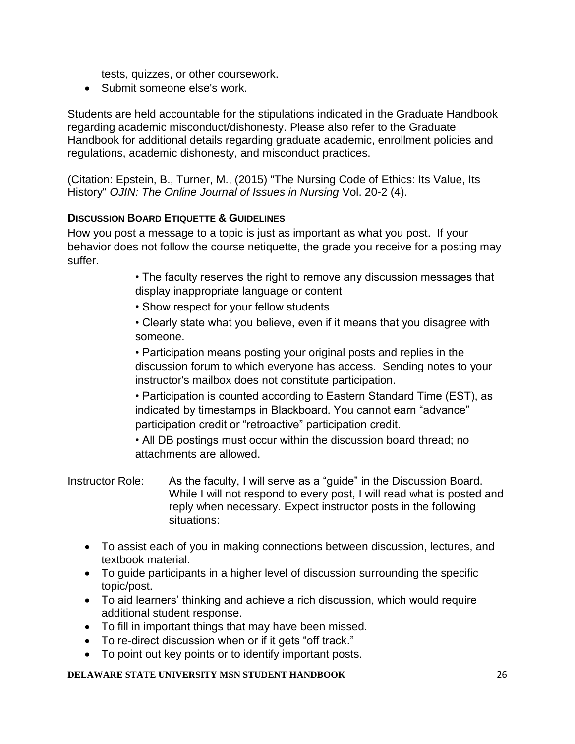tests, quizzes, or other coursework.

• Submit someone else's work.

Students are held accountable for the stipulations indicated in the Graduate Handbook regarding academic misconduct/dishonesty. Please also refer to the Graduate Handbook for additional details regarding graduate academic, enrollment policies and regulations, academic dishonesty, and misconduct practices.

(Citation: Epstein, B., Turner, M., (2015) "The Nursing Code of Ethics: Its Value, Its History" *OJIN: The Online Journal of Issues in Nursing* Vol. 20-2 (4).

#### **DISCUSSION BOARD ETIQUETTE & GUIDELINES**

How you post a message to a topic is just as important as what you post. If your behavior does not follow the course netiquette, the grade you receive for a posting may suffer.

> • The faculty reserves the right to remove any discussion messages that display inappropriate language or content

- Show respect for your fellow students
- Clearly state what you believe, even if it means that you disagree with someone.

• Participation means posting your original posts and replies in the discussion forum to which everyone has access. Sending notes to your instructor's mailbox does not constitute participation.

• Participation is counted according to Eastern Standard Time (EST), as indicated by timestamps in Blackboard. You cannot earn "advance" participation credit or "retroactive" participation credit.

• All DB postings must occur within the discussion board thread; no attachments are allowed.

Instructor Role: As the faculty, I will serve as a "guide" in the Discussion Board. While I will not respond to every post, I will read what is posted and reply when necessary. Expect instructor posts in the following situations:

- To assist each of you in making connections between discussion, lectures, and textbook material.
- To guide participants in a higher level of discussion surrounding the specific topic/post.
- To aid learners' thinking and achieve a rich discussion, which would require additional student response.
- To fill in important things that may have been missed.
- To re-direct discussion when or if it gets "off track."
- To point out key points or to identify important posts.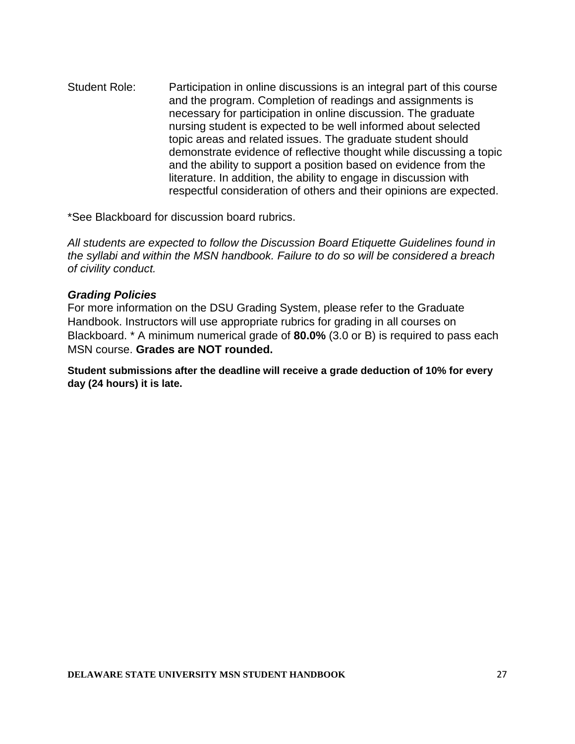Student Role: Participation in online discussions is an integral part of this course and the program. Completion of readings and assignments is necessary for participation in online discussion. The graduate nursing student is expected to be well informed about selected topic areas and related issues. The graduate student should demonstrate evidence of reflective thought while discussing a topic and the ability to support a position based on evidence from the literature. In addition, the ability to engage in discussion with respectful consideration of others and their opinions are expected.

\*See Blackboard for discussion board rubrics.

*All students are expected to follow the Discussion Board Etiquette Guidelines found in the syllabi and within the MSN handbook. Failure to do so will be considered a breach of civility conduct.*

#### *Grading Policies*

For more information on the DSU Grading System, please refer to the Graduate Handbook. Instructors will use appropriate rubrics for grading in all courses on Blackboard. \* A minimum numerical grade of **80.0%** (3.0 or B) is required to pass each MSN course. **Grades are NOT rounded.**

**Student submissions after the deadline will receive a grade deduction of 10% for every day (24 hours) it is late.**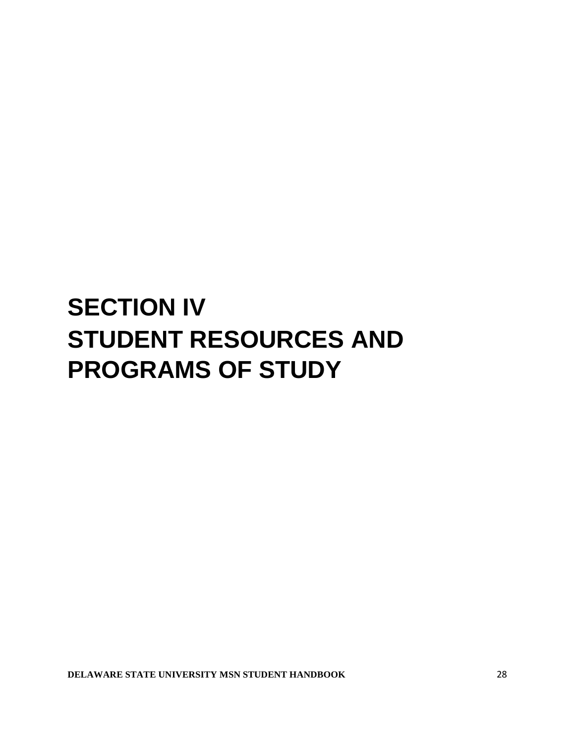## **SECTION IV STUDENT RESOURCES AND PROGRAMS OF STUDY**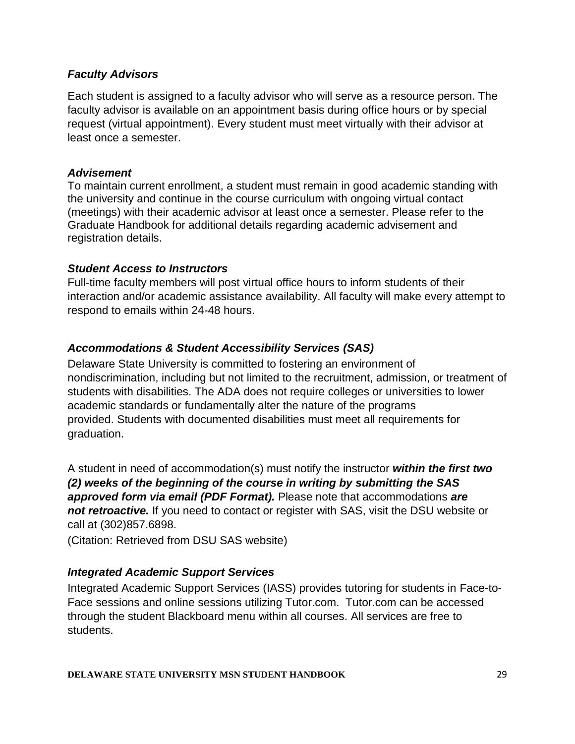#### *Faculty Advisors*

Each student is assigned to a faculty advisor who will serve as a resource person. The faculty advisor is available on an appointment basis during office hours or by special request (virtual appointment). Every student must meet virtually with their advisor at least once a semester.

#### *Advisement*

To maintain current enrollment, a student must remain in good academic standing with the university and continue in the course curriculum with ongoing virtual contact (meetings) with their academic advisor at least once a semester. Please refer to the Graduate Handbook for additional details regarding academic advisement and registration details.

#### *Student Access to Instructors*

Full-time faculty members will post virtual office hours to inform students of their interaction and/or academic assistance availability. All faculty will make every attempt to respond to emails within 24-48 hours.

#### *Accommodations & Student Accessibility Services (SAS)*

Delaware State University is committed to fostering an environment of nondiscrimination, including but not limited to the recruitment, admission, or treatment of students with disabilities. The ADA does not require colleges or universities to lower academic standards or fundamentally alter the nature of the programs provided. Students with documented disabilities must meet all requirements for graduation.

A student in need of accommodation(s) must notify the instructor *within the first two (2) weeks of the beginning of the course in writing by submitting the SAS approved form via email (PDF Format).* Please note that accommodations *are not retroactive.* If you need to contact or register with SAS, visit the DSU website or call at (302)857.6898.

(Citation: Retrieved from DSU SAS website)

#### *Integrated Academic Support Services*

Integrated Academic Support Services (IASS) provides tutoring for students in Face-to-Face sessions and online sessions utilizing Tutor.com. Tutor.com can be accessed through the student Blackboard menu within all courses. All services are free to students.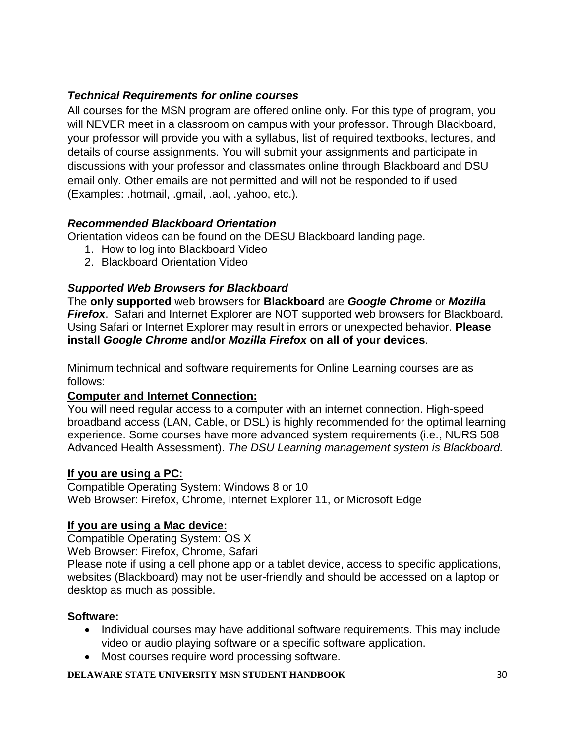#### *Technical Requirements for online courses*

All courses for the MSN program are offered online only. For this type of program, you will NEVER meet in a classroom on campus with your professor. Through Blackboard, your professor will provide you with a syllabus, list of required textbooks, lectures, and details of course assignments. You will submit your assignments and participate in discussions with your professor and classmates online through Blackboard and DSU email only. Other emails are not permitted and will not be responded to if used (Examples: .hotmail, .gmail, .aol, .yahoo, etc.).

#### *Recommended Blackboard Orientation*

Orientation videos can be found on the DESU Blackboard landing page.

- 1. How to log into Blackboard Video
- 2. Blackboard Orientation Video

#### *Supported Web Browsers for Blackboard*

The **only supported** web browsers for **Blackboard** are *Google Chrome* or *Mozilla Firefox*. Safari and Internet Explorer are NOT supported web browsers for Blackboard. Using Safari or Internet Explorer may result in errors or unexpected behavior. **Please install** *Google Chrome* **and/or** *Mozilla Firefox* **on all of your devices**.

Minimum technical and software requirements for Online Learning courses are as follows:

#### **Computer and Internet Connection:**

You will need regular access to a computer with an internet connection. High-speed broadband access (LAN, Cable, or DSL) is highly recommended for the optimal learning experience. Some courses have more advanced system requirements (i.e., NURS 508 Advanced Health Assessment). *The DSU Learning management system is Blackboard.*

#### **If you are using a PC:**

Compatible Operating System: Windows 8 or 10 Web Browser: Firefox, Chrome, Internet Explorer 11, or Microsoft Edge

#### **If you are using a Mac device:**

Compatible Operating System: OS X Web Browser: Firefox, Chrome, Safari

Please note if using a cell phone app or a tablet device, access to specific applications, websites (Blackboard) may not be user-friendly and should be accessed on a laptop or desktop as much as possible.

#### **Software:**

- Individual courses may have additional software requirements. This may include video or audio playing software or a specific software application.
- Most courses require word processing software.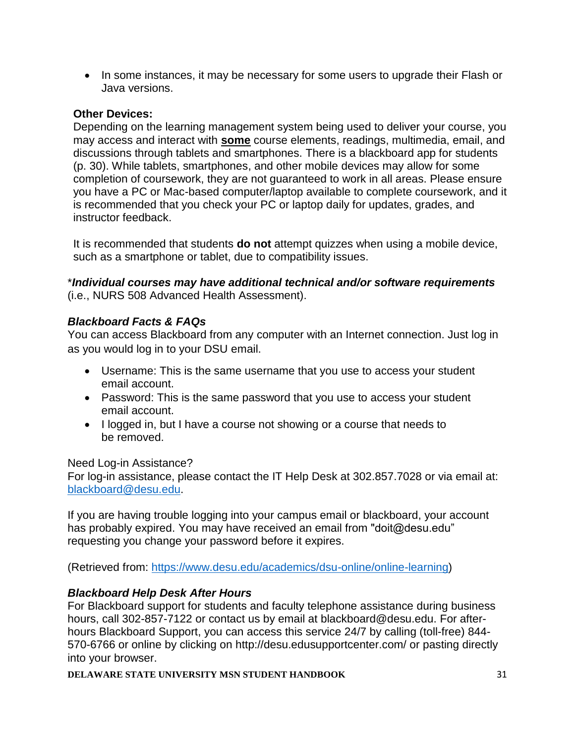• In some instances, it may be necessary for some users to upgrade their Flash or Java versions.

#### **Other Devices:**

Depending on the learning management system being used to deliver your course, you may access and interact with **some** course elements, readings, multimedia, email, and discussions through tablets and smartphones. There is a blackboard app for students (p. 30). While tablets, smartphones, and other mobile devices may allow for some completion of coursework, they are not guaranteed to work in all areas. Please ensure you have a PC or Mac-based computer/laptop available to complete coursework, and it is recommended that you check your PC or laptop daily for updates, grades, and instructor feedback.

It is recommended that students **do not** attempt quizzes when using a mobile device, such as a smartphone or tablet, due to compatibility issues.

\**Individual courses may have additional technical and/or software requirements* (i.e., NURS 508 Advanced Health Assessment).

#### *Blackboard Facts & FAQs*

You can access Blackboard from any computer with an Internet connection. Just log in as you would log in to your DSU email.

- Username: This is the same username that you use to access your student email account.
- Password: This is the same password that you use to access your student email account.
- I logged in, but I have a course not showing or a course that needs to be removed.

#### Need Log-in Assistance?

For log-in assistance, please contact the IT Help Desk at 302.857.7028 or via email at: [blackboard@desu.edu.](mailto:blackboard@desu.edu)

If you are having trouble logging into your campus email or blackboard, your account has probably expired. You may have received an email from "doit@desu.edu" requesting you change your password before it expires.

(Retrieved from: [https://www.desu.edu/academics/dsu-online/online-learning\)](https://www.desu.edu/academics/dsu-online/online-learning)

#### *Blackboard Help Desk After Hours*

For Blackboard support for students and faculty telephone assistance during business hours, call 302-857-7122 or contact us by email at blackboard@desu.edu. For afterhours Blackboard Support, you can access this service 24/7 by calling (toll-free) 844- 570-6766 or online by clicking on http://desu.edusupportcenter.com/ or pasting directly into your browser.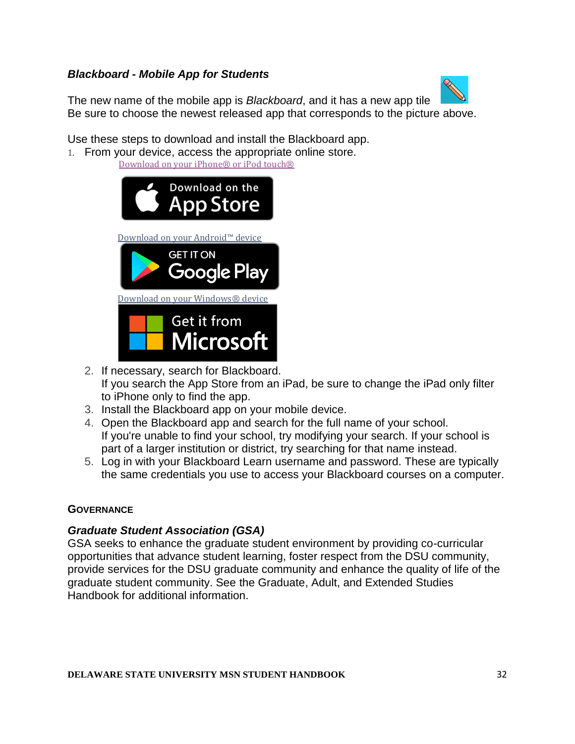#### *Blackboard - Mobile App for Students*



The new name of the mobile app is *Blackboard*, and it has a new app tile Be sure to choose the newest released app that corresponds to the picture above.

Use these steps to download and install the Blackboard app. 1. From your device, access the appropriate online store.

[Download](https://itunes.apple.com/app/blackboard-app/id950424861?mt=8) on your iPhone® or iPod touch®

| Download on the<br><b>App Store</b>    |
|----------------------------------------|
| Download on your Android™ device       |
| <b>GET IT ON</b>                       |
| Google Play                            |
| Download on your Windows® device       |
| <b>Get it from</b><br><b>Microsoft</b> |

- 2. If necessary, search for Blackboard. If you search the App Store from an iPad, be sure to change the iPad only filter to iPhone only to find the app.
- 3. Install the Blackboard app on your mobile device.
- 4. Open the Blackboard app and search for the full name of your school. If you're unable to find your school, try modifying your search. If your school is part of a larger institution or district, try searching for that name instead.
- 5. Log in with your Blackboard Learn username and password. These are typically the same credentials you use to access your Blackboard courses on a computer.

#### **GOVERNANCE**

#### *Graduate Student Association (GSA)*

GSA seeks to enhance the graduate student environment by providing co-curricular opportunities that advance student learning, foster respect from the DSU community, provide services for the DSU graduate community and enhance the quality of life of the graduate student community. See the Graduate, Adult, and Extended Studies Handbook for additional information.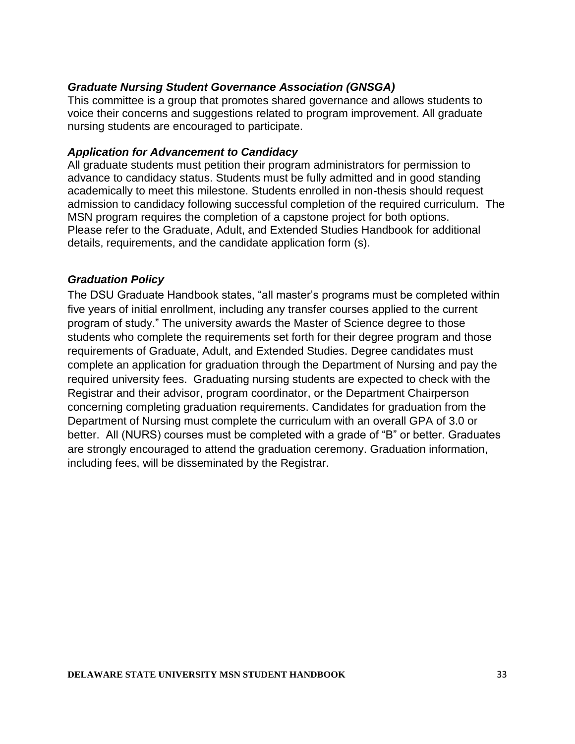#### *Graduate Nursing Student Governance Association (GNSGA)*

This committee is a group that promotes shared governance and allows students to voice their concerns and suggestions related to program improvement. All graduate nursing students are encouraged to participate.

#### *Application for Advancement to Candidacy*

All graduate students must petition their program administrators for permission to advance to candidacy status. Students must be fully admitted and in good standing academically to meet this milestone. Students enrolled in non-thesis should request admission to candidacy following successful completion of the required curriculum. The MSN program requires the completion of a capstone project for both options. Please refer to the Graduate, Adult, and Extended Studies Handbook for additional details, requirements, and the candidate application form (s).

#### *Graduation Policy*

The DSU Graduate Handbook states, "all master's programs must be completed within five years of initial enrollment, including any transfer courses applied to the current program of study." The university awards the Master of Science degree to those students who complete the requirements set forth for their degree program and those requirements of Graduate, Adult, and Extended Studies. Degree candidates must complete an application for graduation through the Department of Nursing and pay the required university fees. Graduating nursing students are expected to check with the Registrar and their advisor, program coordinator, or the Department Chairperson concerning completing graduation requirements. Candidates for graduation from the Department of Nursing must complete the curriculum with an overall GPA of 3.0 or better. All (NURS) courses must be completed with a grade of "B" or better. Graduates are strongly encouraged to attend the graduation ceremony. Graduation information, including fees, will be disseminated by the Registrar.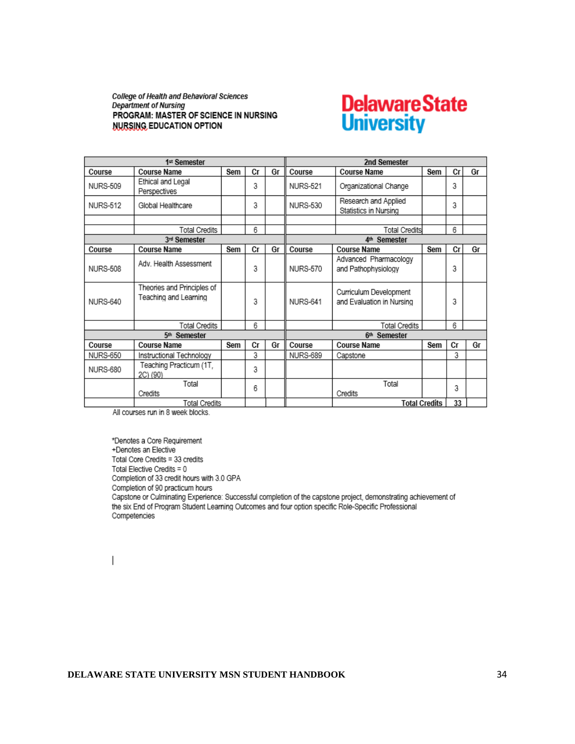College of Health and Behavioral Sciences **Department of Nursing** PROGRAM: MASTER OF SCIENCE IN NURSING **NURSING EDUCATION OPTION** 

# **Delaware State**<br>University

| 1st Semester         |                                                     |     |                          |    | 2nd Semester             |                                                     |                      |    |    |
|----------------------|-----------------------------------------------------|-----|--------------------------|----|--------------------------|-----------------------------------------------------|----------------------|----|----|
| Course               | Course Name                                         | Sem | Сr                       | Gr | Course                   | <b>Course Name</b>                                  | Sem                  | Сr | Gr |
| <b>NURS-509</b>      | Ethical and Legal<br>Perspectives                   |     | 3                        |    | <b>NURS-521</b>          | Organizational Change                               |                      | 3  |    |
| <b>NURS-512</b>      | Global Healthcare                                   |     | 3                        |    | <b>NURS-530</b>          | Research and Applied<br>Statistics in Nursing       |                      | 3  |    |
|                      |                                                     |     |                          |    |                          |                                                     |                      |    |    |
|                      | Total Credits                                       |     | 6                        |    |                          | <b>Total Credits</b>                                |                      | 6  |    |
|                      | 3rd Semester                                        |     |                          |    | 4 <sup>th</sup> Semester |                                                     |                      |    |    |
| Course               | <b>Course Name</b>                                  | Sem | Сr                       | Gr | Course                   | <b>Course Name</b>                                  | Sem                  | Сr | Gr |
| NURS-508             | Adv. Health Assessment                              |     | 3                        |    | NURS-570                 | Advanced Pharmacology<br>and Pathophysiology        |                      | 3  |    |
| <b>NURS-640</b>      | Theories and Principles of<br>Teaching and Learning |     | 3                        |    | NURS-641                 | Curriculum Development<br>and Evaluation in Nursing |                      | 3  |    |
|                      | <b>Total Credits</b>                                |     | 6                        |    |                          | <b>Total Credits</b>                                |                      | 6  |    |
|                      | 5 <sup>th</sup> Semester                            |     | 6 <sup>th</sup> Semester |    |                          |                                                     |                      |    |    |
| Course               | <b>Course Name</b>                                  | Sem | Cr                       | Gr | Course                   | <b>Course Name</b>                                  | Sem                  | Cr | Gr |
| <b>NURS-650</b>      | Instructional Technology                            |     | 3                        |    | <b>NURS-689</b>          | Capstone                                            |                      | 3  |    |
| <b>NURS-680</b>      | Teaching Practicum (1T,<br>2C) (90)                 |     | 3                        |    |                          |                                                     |                      |    |    |
|                      | Total<br>Credits                                    |     | 6                        |    |                          | Total<br>Credits                                    |                      | 3  |    |
| <b>Total Credits</b> |                                                     |     |                          |    |                          |                                                     | <b>Total Credits</b> | 33 |    |

All courses run in 8 week blocks.

\*Denotes a Core Requirement +Denotes an Elective Total Core Credits = 33 credits Total Elective Credits = 0 Completion of 33 credit hours with 3.0 GPA Completion of 90 practicum hours Capstone or Culminating Experience: Successful completion of the capstone project, demonstrating achievement of the six End of Program Student Learning Outcomes and four option specific Role-Specific Professional Competencies

 $\overline{\phantom{a}}$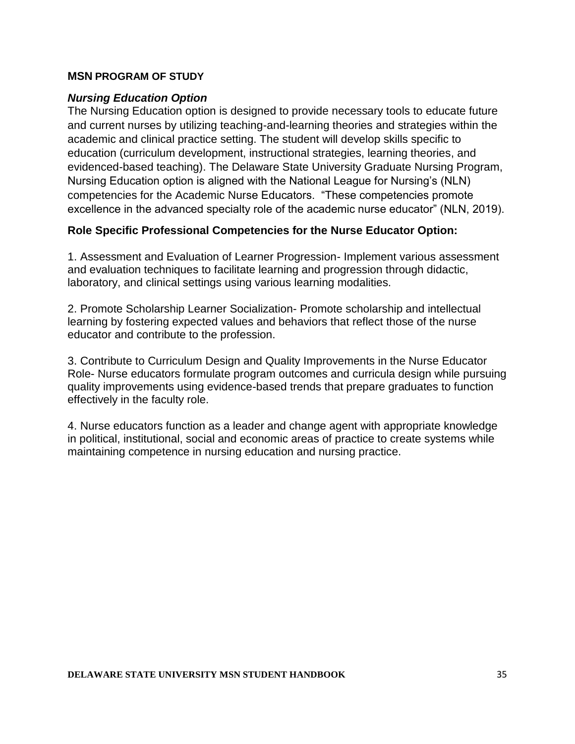#### **MSN PROGRAM OF STUDY**

#### *Nursing Education Option*

The Nursing Education option is designed to provide necessary tools to educate future and current nurses by utilizing teaching-and-learning theories and strategies within the academic and clinical practice setting. The student will develop skills specific to education (curriculum development, instructional strategies, learning theories, and evidenced-based teaching). The Delaware State University Graduate Nursing Program, Nursing Education option is aligned with the National League for Nursing's (NLN) competencies for the Academic Nurse Educators. "These competencies promote excellence in the advanced specialty role of the academic nurse educator" (NLN, 2019).

#### **Role Specific Professional Competencies for the Nurse Educator Option:**

1. Assessment and Evaluation of Learner Progression- Implement various assessment and evaluation techniques to facilitate learning and progression through didactic, laboratory, and clinical settings using various learning modalities.

2. Promote Scholarship Learner Socialization- Promote scholarship and intellectual learning by fostering expected values and behaviors that reflect those of the nurse educator and contribute to the profession.

3. Contribute to Curriculum Design and Quality Improvements in the Nurse Educator Role- Nurse educators formulate program outcomes and curricula design while pursuing quality improvements using evidence-based trends that prepare graduates to function effectively in the faculty role.

4. Nurse educators function as a leader and change agent with appropriate knowledge in political, institutional, social and economic areas of practice to create systems while maintaining competence in nursing education and nursing practice.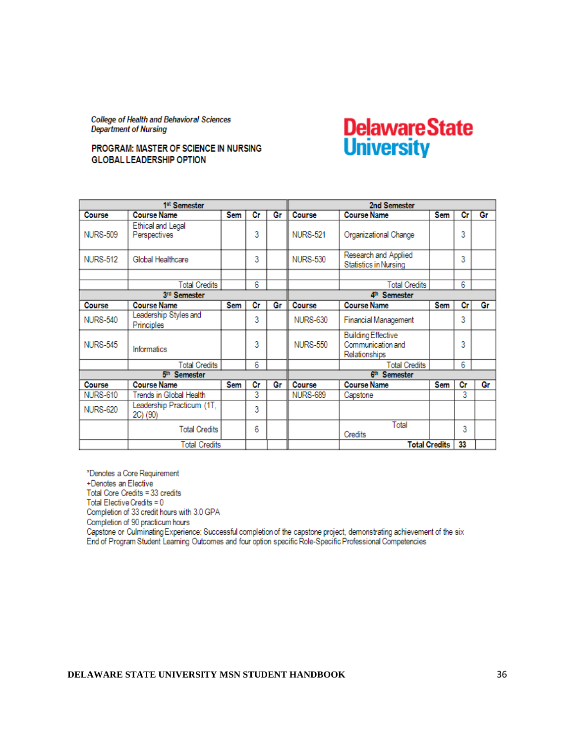**College of Health and Behavioral Sciences Department of Nursing** 

#### PROGRAM: MASTER OF SCIENCE IN NURSING **GLOBAL LEADERSHIP OPTION**

### **Delaware State University**

| 1 <sup>st</sup> Semester |                                       |            |                | 2nd Semester |                          |                                                                 |                      |    |    |
|--------------------------|---------------------------------------|------------|----------------|--------------|--------------------------|-----------------------------------------------------------------|----------------------|----|----|
| Course                   | <b>Course Name</b>                    | Sem        | Сr             | Gr           | Course                   | <b>Course Name</b>                                              | <b>Sem</b>           | Сr | Gr |
| <b>NURS-509</b>          | Ethical and Legal<br>Perspectives     |            | 3              |              | <b>NURS-521</b>          | Organizational Change                                           |                      | 3  |    |
| <b>NURS-512</b>          | Global Healthcare                     |            | 3              |              | <b>NURS-530</b>          | Research and Applied<br><b>Statistics in Nursing</b>            |                      | 3  |    |
|                          |                                       |            |                |              |                          |                                                                 |                      |    |    |
|                          | <b>Total Credits</b>                  |            | $\overline{6}$ |              |                          | <b>Total Credits</b>                                            |                      | 6  |    |
|                          | 3rd Semester                          |            |                |              | 4 <sup>th</sup> Semester |                                                                 |                      |    |    |
| Course                   | <b>Course Name</b>                    | <b>Sem</b> | Сr             | Gr           | Course                   | <b>Course Name</b>                                              | <b>Sem</b>           | Сr | Gr |
| <b>NURS-540</b>          | Leadership Styles and<br>Principles   |            | 3              |              | <b>NURS-630</b>          | Financial Management                                            |                      | 3  |    |
| <b>NURS-545</b>          | Informatics                           |            | 3              |              | <b>NURS-550</b>          | <b>Building Effective</b><br>Communication and<br>Relationships |                      | 3  |    |
|                          | Total Credits                         |            | 6              |              |                          | <b>Total Credits</b>                                            |                      | 6  |    |
|                          | 5 <sup>th</sup> Semester              |            |                |              | 6th Semester             |                                                                 |                      |    |    |
| Course                   | <b>Course Name</b>                    | Sem        | Сr             | Gr           | Course                   | <b>Course Name</b>                                              | <b>Sem</b>           | Cr | Gr |
| <b>NURS-610</b>          | Trends in Global Health               |            | 3              |              | <b>NURS-689</b>          | Capstone                                                        |                      | 3  |    |
| <b>NURS-620</b>          | Leadership Practicum (1T,<br>2C) (90) |            | 3              |              |                          |                                                                 |                      |    |    |
|                          | <b>Total Credits</b>                  |            | 6              |              |                          | Total<br>Credits                                                |                      | 3  |    |
| Total Credits            |                                       |            |                |              |                          |                                                                 | <b>Total Credits</b> | 33 |    |

\*Denotes a Core Requirement +Denotes an Elective Total Core Credits = 33 credits Total Elective Credits = 0 Completion of 33 credit hours with 3.0 GPA Completion of 90 practicum hours Capstone or Culminating Experience: Successful completion of the capstone project, demonstrating achievement of the six End of Program Student Learning Outcomes and four option specific Role-Specific Professional Competencies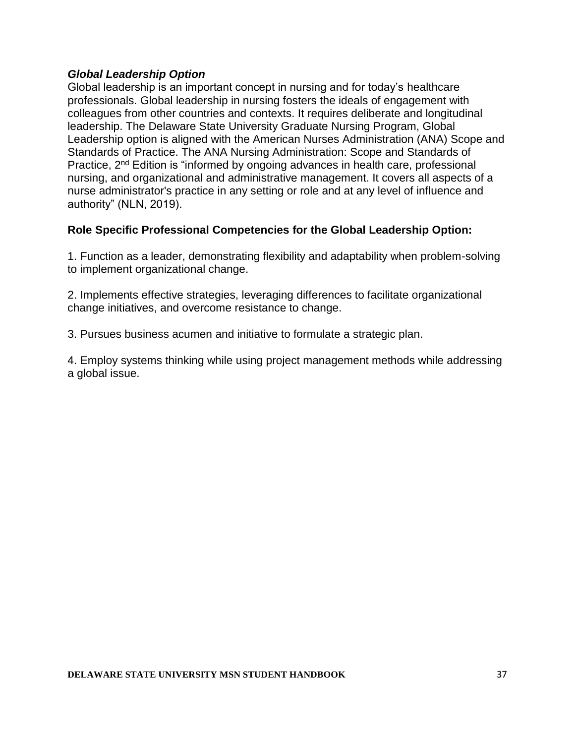#### *Global Leadership Option*

Global leadership is an important concept in nursing and for today's healthcare professionals. Global leadership in nursing fosters the ideals of engagement with colleagues from other countries and contexts. It requires deliberate and longitudinal leadership. The Delaware State University Graduate Nursing Program, Global Leadership option is aligned with the American Nurses Administration (ANA) Scope and Standards of Practice. The ANA Nursing Administration: Scope and Standards of Practice, 2nd Edition is "informed by ongoing advances in health care, professional nursing, and organizational and administrative management. It covers all aspects of a nurse administrator's practice in any setting or role and at any level of influence and authority" (NLN, 2019).

#### **Role Specific Professional Competencies for the Global Leadership Option:**

1. Function as a leader, demonstrating flexibility and adaptability when problem-solving to implement organizational change.

2. Implements effective strategies, leveraging differences to facilitate organizational change initiatives, and overcome resistance to change.

3. Pursues business acumen and initiative to formulate a strategic plan.

4. Employ systems thinking while using project management methods while addressing a global issue.